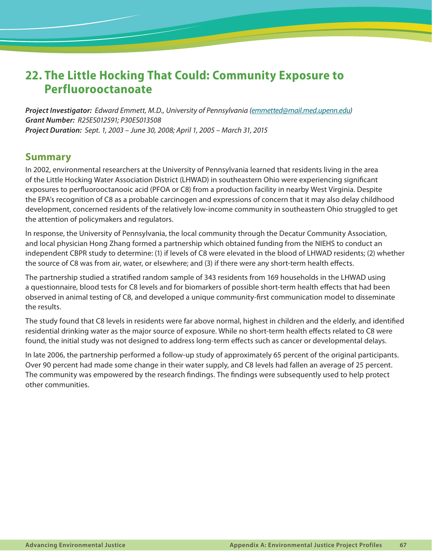# **22. The Little Hocking That Could: Community Exposure to Perfluorooctanoate**

*Project Investigator: Edward Emmett, M.D., University of Pennsylvania ([emmetted@mail.med.upenn.edu](mailto:emmetted@mail.med.upenn.edu)) Grant Number: R25ES012591; P30ES013508 Project Duration: Sept. 1, 2003 – June 30, 2008; April 1, 2005 – March 31, 2015*

# **Summary**

In 2002, environmental researchers at the University of Pennsylvania learned that residents living in the area of the Little Hocking Water Association District (LHWAD) in southeastern Ohio were experiencing significant exposures to perfluorooctanooic acid (PFOA or C8) from a production facility in nearby West Virginia. Despite the EPA's recognition of C8 as a probable carcinogen and expressions of concern that it may also delay childhood development, concerned residents of the relatively low-income community in southeastern Ohio struggled to get the attention of policymakers and regulators.

In response, the University of Pennsylvania, the local community through the Decatur Community Association, and local physician Hong Zhang formed a partnership which obtained funding from the NIEHS to conduct an independent CBPR study to determine: (1) if levels of C8 were elevated in the blood of LHWAD residents; (2) whether the source of C8 was from air, water, or elsewhere; and (3) if there were any short-term health effects.

The partnership studied a stratified random sample of 343 residents from 169 households in the LHWAD using a questionnaire, blood tests for C8 levels and for biomarkers of possible short-term health effects that had been observed in animal testing of C8, and developed a unique community-first communication model to disseminate the results.

The study found that C8 levels in residents were far above normal, highest in children and the elderly, and identified residential drinking water as the major source of exposure. While no short-term health effects related to C8 were found, the initial study was not designed to address long-term effects such as cancer or developmental delays.

In late 2006, the partnership performed a follow-up study of approximately 65 percent of the original participants. Over 90 percent had made some change in their water supply, and C8 levels had fallen an average of 25 percent. The community was empowered by the research findings. The findings were subsequently used to help protect other communities.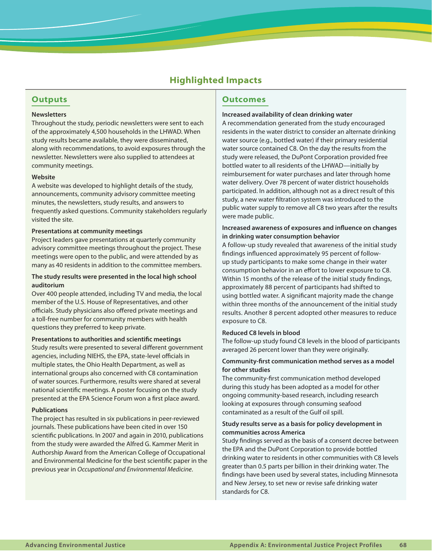# **Highlighted Impacts**

# **Outputs**

#### **Newsletters**

Throughout the study, periodic newsletters were sent to each of the approximately 4,500 households in the LHWAD. When study results became available, they were disseminated, along with recommendations, to avoid exposures through the newsletter. Newsletters were also supplied to attendees at community meetings.

#### **Website**

A website was developed to highlight details of the study, announcements, community advisory committee meeting minutes, the newsletters, study results, and answers to frequently asked questions. Community stakeholders regularly visited the site.

#### **Presentations at community meetings**

Project leaders gave presentations at quarterly community advisory committee meetings throughout the project. These meetings were open to the public, and were attended by as many as 40 residents in addition to the committee members.

#### **The study results were presented in the local high school auditorium**

Over 400 people attended, including TV and media, the local member of the U.S. House of Representatives, and other officials. Study physicians also offered private meetings and a toll-free number for community members with health questions they preferred to keep private.

#### **Presentations to authorities and scientific meetings**

Study results were presented to several different government agencies, including NIEHS, the EPA, state-level officials in multiple states, the Ohio Health Department, as well as international groups also concerned with C8 contamination of water sources. Furthermore, results were shared at several national scientific meetings. A poster focusing on the study presented at the EPA Science Forum won a first place award.

#### **Publications**

The project has resulted in six publications in peer-reviewed journals. These publications have been cited in over 150 scientific publications. In 2007 and again in 2010, publications from the study were awarded the Alfred G. Kammer Merit in Authorship Award from the American College of Occupational and Environmental Medicine for the best scientific paper in the previous year in *Occupational and Environmental Medicine*.

# **Outcomes**

#### **Increased availability of clean drinking water**

A recommendation generated from the study encouraged residents in the water district to consider an alternate drinking water source (e.g., bottled water) if their primary residential water source contained C8. On the day the results from the study were released, the DuPont Corporation provided free bottled water to all residents of the LHWAD—initially by reimbursement for water purchases and later through home water delivery. Over 78 percent of water district households participated. In addition, although not as a direct result of this study, a new water filtration system was introduced to the public water supply to remove all C8 two years after the results were made public.

#### **Increased awareness of exposures and influence on changes in drinking water consumption behavior**

A follow-up study revealed that awareness of the initial study findings influenced approximately 95 percent of followup study participants to make some change in their water consumption behavior in an effort to lower exposure to C8. Within 15 months of the release of the initial study findings, approximately 88 percent of participants had shifted to using bottled water. A significant majority made the change within three months of the announcement of the initial study results. Another 8 percent adopted other measures to reduce exposure to C8.

#### **Reduced C8 levels in blood**

The follow-up study found C8 levels in the blood of participants averaged 26 percent lower than they were originally.

## **Community-first communication method serves as a model for other studies**

The community-first communication method developed during this study has been adopted as a model for other ongoing community-based research, including research looking at exposures through consuming seafood contaminated as a result of the Gulf oil spill.

## **Study results serve as a basis for policy development in communities across America**

Study findings served as the basis of a consent decree between the EPA and the DuPont Corporation to provide bottled drinking water to residents in other communities with C8 levels greater than 0.5 parts per billion in their drinking water. The findings have been used by several states, including Minnesota and New Jersey, to set new or revise safe drinking water standards for C8.